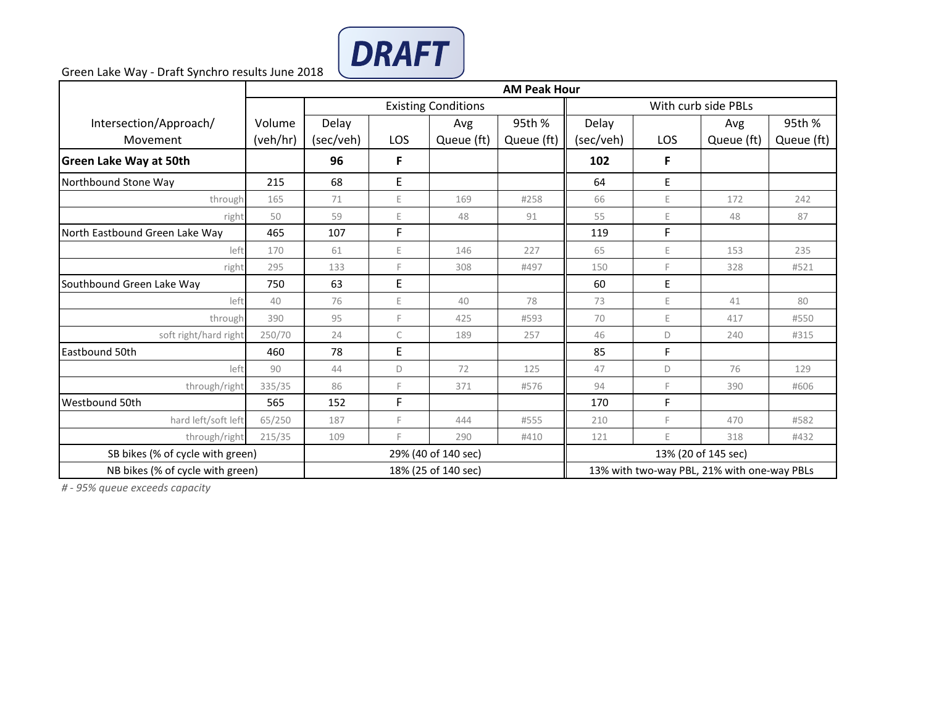

Green Lake Way - Draft Synchro results June 2018

|                                  | <b>AM Peak Hour</b> |                            |              |            |                     |                                             |         |            |            |
|----------------------------------|---------------------|----------------------------|--------------|------------|---------------------|---------------------------------------------|---------|------------|------------|
|                                  |                     | <b>Existing Conditions</b> |              |            |                     | With curb side PBLs                         |         |            |            |
| Intersection/Approach/           | Volume              | Delay                      |              | Avg        | 95th %              | Delay                                       |         | Avg        | 95th %     |
| Movement                         | (veh/hr)            | (sec/veh)                  | <b>LOS</b>   | Queue (ft) | Queue (ft)          | (sec/veh)                                   | LOS     | Queue (ft) | Queue (ft) |
| <b>Green Lake Way at 50th</b>    |                     | 96                         | F            |            |                     | 102                                         | F       |            |            |
| Northbound Stone Way             | 215                 | 68                         | E            |            |                     | 64                                          | $\sf E$ |            |            |
| through                          | 165                 | 71                         | Ε            | 169        | #258                | 66                                          | E       | 172        | 242        |
| right                            | 50                  | 59                         | E            | 48         | 91                  | 55                                          | E       | 48         | 87         |
| North Eastbound Green Lake Way   | 465                 | 107                        | F            |            |                     | 119                                         | F       |            |            |
| left                             | 170                 | 61                         | E            | 146        | 227                 | 65                                          | Ε       | 153        | 235        |
| right                            | 295                 | 133                        | E            | 308        | #497                | 150                                         | F       | 328        | #521       |
| Southbound Green Lake Way        | 750                 | 63                         | E            |            |                     | 60                                          | Е       |            |            |
| left                             | 40                  | 76                         | E            | 40         | 78                  | 73                                          | E       | 41         | 80         |
| through                          | 390                 | 95                         | E            | 425        | #593                | 70                                          | E.      | 417        | #550       |
| soft right/hard right            | 250/70              | 24                         | $\mathsf{C}$ | 189        | 257                 | 46                                          | D       | 240        | #315       |
| Eastbound 50th                   | 460                 | 78                         | E            |            |                     | 85                                          | F       |            |            |
| left                             | 90                  | 44                         | D            | 72         | 125                 | 47                                          | D       | 76         | 129        |
| through/right                    | 335/35              | 86                         | F            | 371        | #576                | 94                                          | F       | 390        | #606       |
| Westbound 50th                   | 565                 | 152                        | F            |            |                     | 170                                         | F       |            |            |
| hard left/soft left              | 65/250              | 187                        | F            | 444        | #555                | 210                                         | F       | 470        | #582       |
| through/right                    | 215/35              | 109                        | E            | 290        | #410                | 121                                         | E       | 318        | #432       |
| SB bikes (% of cycle with green) | 29% (40 of 140 sec) |                            |              |            | 13% (20 of 145 sec) |                                             |         |            |            |
| NB bikes (% of cycle with green) |                     | 18% (25 of 140 sec)        |              |            |                     | 13% with two-way PBL, 21% with one-way PBLs |         |            |            |

*# - 95% queue exceeds capacity*